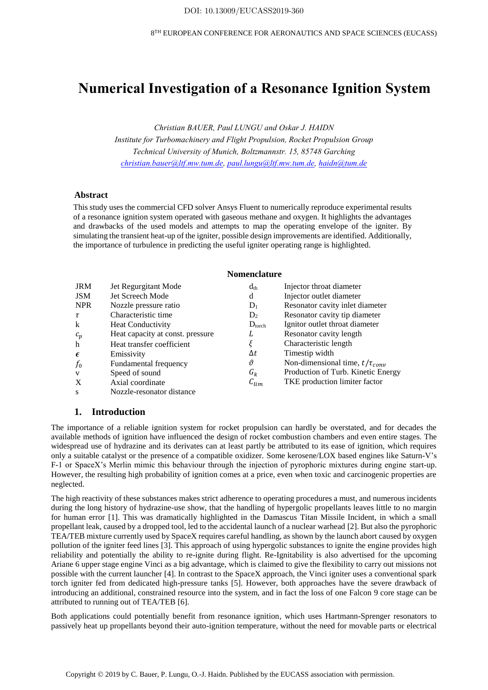# **Numerical Investigation of a Resonance Ignition System**

*Christian BAUER, Paul LUNGU and Oskar J. HAIDN*

*Institute for Turbomachinery and Flight Propulsion, Rocket Propulsion Group Technical University of Munich, Boltzmannstr. 15, 85748 Garching christian.bauer@ltf.mw.tum.de, paul.lungu@ltf.mw.tum.de, haidn@tum.de* 

### **Abstract**

This study uses the commercial CFD solver Ansys Fluent to numerically reproduce experimental results of a resonance ignition system operated with gaseous methane and oxygen. It highlights the advantages and drawbacks of the used models and attempts to map the operating envelope of the igniter. By simulating the transient heat-up of the igniter, possible design improvements are identified. Additionally, the importance of turbulence in predicting the useful igniter operating range is highlighted.

### **Nomenclature**

| <b>JRM</b>   | Jet Regurgitant Mode             | $d_{th}$           | Injector throat diameter              |
|--------------|----------------------------------|--------------------|---------------------------------------|
| <b>JSM</b>   | Jet Screech Mode                 | d                  | Injector outlet diameter              |
| <b>NPR</b>   | Nozzle pressure ratio            | $D_1$              | Resonator cavity inlet diameter       |
| τ            | Characteristic time              | D <sub>2</sub>     | Resonator cavity tip diameter         |
| k            | <b>Heat Conductivity</b>         | $D_{\text{torch}}$ | Ignitor outlet throat diameter        |
| $c_p$        | Heat capacity at const. pressure | L                  | Resonator cavity length               |
| h            | Heat transfer coefficient        | ξ                  | Characteristic length                 |
| $\epsilon$   | Emissivity                       | Δt                 | Timestip width                        |
| $f_0$        | Fundamental frequency            | θ                  | Non-dimensional time, $t/\tau_{conv}$ |
| $\mathbf{V}$ | Speed of sound                   | $G_k$              | Production of Turb. Kinetic Energy    |
| $\mathbf{X}$ | Axial coordinate                 | $c_{\text{lim}}$   | TKE production limiter factor         |
| S            | Nozzle-resonator distance        |                    |                                       |

### **1. Introduction**

The importance of a reliable ignition system for rocket propulsion can hardly be overstated, and for decades the available methods of ignition have influenced the design of rocket combustion chambers and even entire stages. The widespread use of hydrazine and its derivates can at least partly be attributed to its ease of ignition, which requires only a suitable catalyst or the presence of a compatible oxidizer. Some kerosene/LOX based engines like Saturn-V's F-1 or SpaceX's Merlin mimic this behaviour through the injection of pyrophoric mixtures during engine start-up. However, the resulting high probability of ignition comes at a price, even when toxic and carcinogenic properties are neglected.

The high reactivity of these substances makes strict adherence to operating procedures a must, and numerous incidents during the long history of hydrazine-use show, that the handling of hypergolic propellants leaves little to no margin for human error [1]. This was dramatically highlighted in the Damascus Titan Missile Incident, in which a small propellant leak, caused by a dropped tool, led to the accidental launch of a nuclear warhead [2]. But also the pyrophoric TEA/TEB mixture currently used by SpaceX requires careful handling, as shown by the launch abort caused by oxygen pollution of the igniter feed lines [3]. This approach of using hypergolic substances to ignite the engine provides high reliability and potentially the ability to re-ignite during flight. Re-Ignitability is also advertised for the upcoming Ariane 6 upper stage engine Vinci as a big advantage, which is claimed to give the flexibility to carry out missions not possible with the current launcher [4]. In contrast to the SpaceX approach, the Vinci igniter uses a conventional spark torch igniter fed from dedicated high-pressure tanks [5]. However, both approaches have the severe drawback of introducing an additional, constrained resource into the system, and in fact the loss of one Falcon 9 core stage can be attributed to running out of TEA/TEB [6].

Both applications could potentially benefit from resonance ignition, which uses Hartmann-Sprenger resonators to passively heat up propellants beyond their auto-ignition temperature, without the need for movable parts or electrical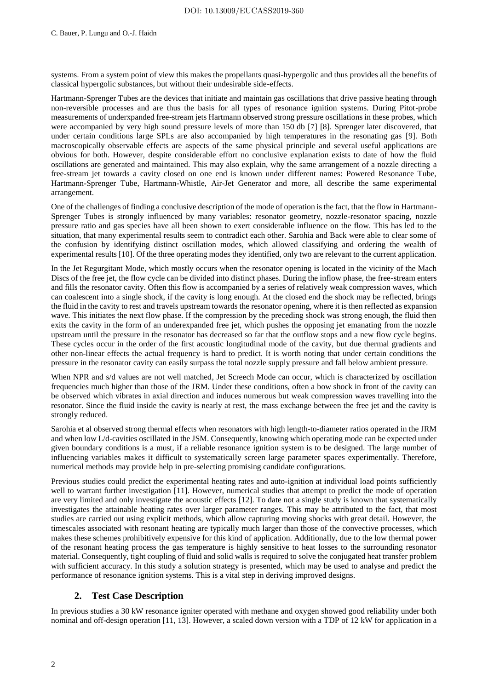systems. From a system point of view this makes the propellants quasi-hypergolic and thus provides all the benefits of classical hypergolic substances, but without their undesirable side-effects.

Hartmann-Sprenger Tubes are the devices that initiate and maintain gas oscillations that drive passive heating through non-reversible processes and are thus the basis for all types of resonance ignition systems. During Pitot-probe measurements of underxpanded free-stream jets Hartmann observed strong pressure oscillations in these probes, which were accompanied by very high sound pressure levels of more than 150 db [7] [8]. Sprenger later discovered, that under certain conditions large SPLs are also accompanied by high temperatures in the resonating gas [9]. Both macroscopically observable effects are aspects of the same physical principle and several useful applications are obvious for both. However, despite considerable effort no conclusive explanation exists to date of how the fluid oscillations are generated and maintained. This may also explain, why the same arrangement of a nozzle directing a free-stream jet towards a cavity closed on one end is known under different names: Powered Resonance Tube, Hartmann-Sprenger Tube, Hartmann-Whistle, Air-Jet Generator and more, all describe the same experimental arrangement.

One of the challenges of finding a conclusive description of the mode of operation is the fact, that the flow in Hartmann-Sprenger Tubes is strongly influenced by many variables: resonator geometry, nozzle-resonator spacing, nozzle pressure ratio and gas species have all been shown to exert considerable influence on the flow. This has led to the situation, that many experimental results seem to contradict each other. Sarohia and Back were able to clear some of the confusion by identifying distinct oscillation modes, which allowed classifying and ordering the wealth of experimental results [10]. Of the three operating modes they identified, only two are relevant to the current application.

In the Jet Regurgitant Mode, which mostly occurs when the resonator opening is located in the vicinity of the Mach Discs of the free jet, the flow cycle can be divided into distinct phases. During the inflow phase, the free-stream enters and fills the resonator cavity. Often this flow is accompanied by a series of relatively weak compression waves, which can coalescent into a single shock, if the cavity is long enough. At the closed end the shock may be reflected, brings the fluid in the cavity to rest and travels upstream towards the resonator opening, where it is then reflected as expansion wave. This initiates the next flow phase. If the compression by the preceding shock was strong enough, the fluid then exits the cavity in the form of an underexpanded free jet, which pushes the opposing jet emanating from the nozzle upstream until the pressure in the resonator has decreased so far that the outflow stops and a new flow cycle begins. These cycles occur in the order of the first acoustic longitudinal mode of the cavity, but due thermal gradients and other non-linear effects the actual frequency is hard to predict. It is worth noting that under certain conditions the pressure in the resonator cavity can easily surpass the total nozzle supply pressure and fall below ambient pressure.

When NPR and s/d values are not well matched, Jet Screech Mode can occur, which is characterized by oscillation frequencies much higher than those of the JRM. Under these conditions, often a bow shock in front of the cavity can be observed which vibrates in axial direction and induces numerous but weak compression waves travelling into the resonator. Since the fluid inside the cavity is nearly at rest, the mass exchange between the free jet and the cavity is strongly reduced.

Sarohia et al observed strong thermal effects when resonators with high length-to-diameter ratios operated in the JRM and when low L/d-cavities oscillated in the JSM. Consequently, knowing which operating mode can be expected under given boundary conditions is a must, if a reliable resonance ignition system is to be designed. The large number of influencing variables makes it difficult to systematically screen large parameter spaces experimentally. Therefore, numerical methods may provide help in pre-selecting promising candidate configurations.

Previous studies could predict the experimental heating rates and auto-ignition at individual load points sufficiently well to warrant further investigation [11]. However, numerical studies that attempt to predict the mode of operation are very limited and only investigate the acoustic effects [12]. To date not a single study is known that systematically investigates the attainable heating rates over larger parameter ranges. This may be attributed to the fact, that most studies are carried out using explicit methods, which allow capturing moving shocks with great detail. However, the timescales associated with resonant heating are typically much larger than those of the convective processes, which makes these schemes prohibitively expensive for this kind of application. Additionally, due to the low thermal power of the resonant heating process the gas temperature is highly sensitive to heat losses to the surrounding resonator material. Consequently, tight coupling of fluid and solid walls is required to solve the conjugated heat transfer problem with sufficient accuracy. In this study a solution strategy is presented, which may be used to analyse and predict the performance of resonance ignition systems. This is a vital step in deriving improved designs.

# **2. Test Case Description**

In previous studies a 30 kW resonance igniter operated with methane and oxygen showed good reliability under both nominal and off-design operation [11, 13]. However, a scaled down version with a TDP of 12 kW for application in a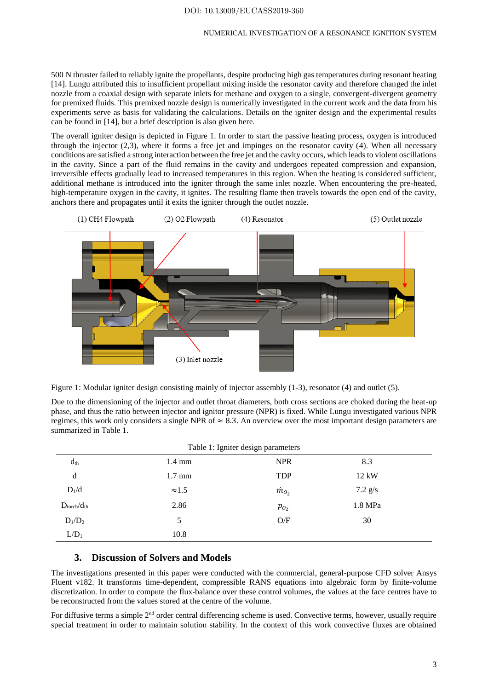500 N thruster failed to reliably ignite the propellants, despite producing high gas temperatures during resonant heating [14]. Lungu attributed this to insufficient propellant mixing inside the resonator cavity and therefore changed the inlet nozzle from a coaxial design with separate inlets for methane and oxygen to a single, convergent-divergent geometry for premixed fluids. This premixed nozzle design is numerically investigated in the current work and the data from his experiments serve as basis for validating the calculations. Details on the igniter design and the experimental results can be found in [14], but a brief description is also given here.

The overall igniter design is depicted in Figure 1. In order to start the passive heating process, oxygen is introduced through the injector (2,3), where it forms a free jet and impinges on the resonator cavity (4). When all necessary conditions are satisfied a strong interaction between the free jet and the cavity occurs, which leads to violent oscillations in the cavity. Since a part of the fluid remains in the cavity and undergoes repeated compression and expansion, irreversible effects gradually lead to increased temperatures in this region. When the heating is considered sufficient, additional methane is introduced into the igniter through the same inlet nozzle. When encountering the pre-heated, high-temperature oxygen in the cavity, it ignites. The resulting flame then travels towards the open end of the cavity, anchors there and propagates until it exits the igniter through the outlet nozzle.





Due to the dimensioning of the injector and outlet throat diameters, both cross sections are choked during the heat-up phase, and thus the ratio between injector and ignitor pressure (NPR) is fixed. While Lungu investigated various NPR regimes, this work only considers a single NPR of  $\approx 8.3$ . An overview over the most important design parameters are summarized in Table 1.

| $d_{th}$                         | $1.4 \text{ mm}$ | Table 1: Igniter design parameters<br><b>NPR</b> | 8.3       |  |
|----------------------------------|------------------|--------------------------------------------------|-----------|--|
| d                                | $1.7 \text{ mm}$ | <b>TDP</b>                                       | 12 kW     |  |
| $D_1/d$                          | $\approx 1.5$    | $\dot{m}_{O_2}$                                  | $7.2$ g/s |  |
| $D_{\text{torch}}/d_{\text{th}}$ | 2.86             | $p_{O_2}$                                        | 1.8 MPa   |  |
| $D_1/D_2$                        | 5                | O/F                                              | 30        |  |
| $L/D_1$                          | 10.8             |                                                  |           |  |

# **3. Discussion of Solvers and Models**

The investigations presented in this paper were conducted with the commercial, general-purpose CFD solver Ansys Fluent v182. It transforms time-dependent, compressible RANS equations into algebraic form by finite-volume discretization. In order to compute the flux-balance over these control volumes, the values at the face centres have to be reconstructed from the values stored at the centre of the volume.

For diffusive terms a simple  $2<sup>nd</sup>$  order central differencing scheme is used. Convective terms, however, usually require special treatment in order to maintain solution stability. In the context of this work convective fluxes are obtained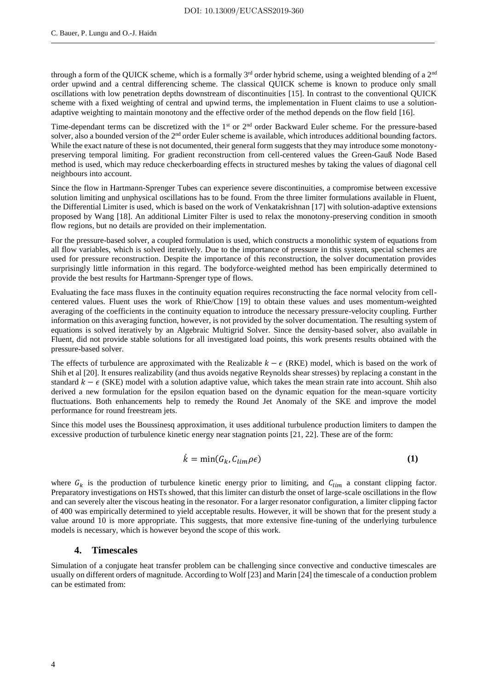through a form of the QUICK scheme, which is a formally  $3^{rd}$  order hybrid scheme, using a weighted blending of a  $2^{nd}$ order upwind and a central differencing scheme. The classical QUICK scheme is known to produce only small oscillations with low penetration depths downstream of discontinuities [15]. In contrast to the conventional QUICK scheme with a fixed weighting of central and upwind terms, the implementation in Fluent claims to use a solutionadaptive weighting to maintain monotony and the effective order of the method depends on the flow field [16].

Time-dependant terms can be discretized with the  $1<sup>st</sup>$  or  $2<sup>nd</sup>$  order Backward Euler scheme. For the pressure-based solver, also a bounded version of the  $2<sup>nd</sup>$  order Euler scheme is available, which introduces additional bounding factors. While the exact nature of these is not documented, their general form suggests that they may introduce some monotonypreserving temporal limiting. For gradient reconstruction from cell-centered values the Green-Gauß Node Based method is used, which may reduce checkerboarding effects in structured meshes by taking the values of diagonal cell neighbours into account.

Since the flow in Hartmann-Sprenger Tubes can experience severe discontinuities, a compromise between excessive solution limiting and unphysical oscillations has to be found. From the three limiter formulations available in Fluent, the Differential Limiter is used, which is based on the work of Venkatakrishnan [17] with solution-adaptive extensions proposed by Wang [18]. An additional Limiter Filter is used to relax the monotony-preserving condition in smooth flow regions, but no details are provided on their implementation.

For the pressure-based solver, a coupled formulation is used, which constructs a monolithic system of equations from all flow variables, which is solved iteratively. Due to the importance of pressure in this system, special schemes are used for pressure reconstruction. Despite the importance of this reconstruction, the solver documentation provides surprisingly little information in this regard. The bodyforce-weighted method has been empirically determined to provide the best results for Hartmann-Sprenger type of flows.

Evaluating the face mass fluxes in the continuity equation requires reconstructing the face normal velocity from cellcentered values. Fluent uses the work of Rhie/Chow [19] to obtain these values and uses momentum-weighted averaging of the coefficients in the continuity equation to introduce the necessary pressure-velocity coupling. Further information on this averaging function, however, is not provided by the solver documentation. The resulting system of equations is solved iteratively by an Algebraic Multigrid Solver. Since the density-based solver, also available in Fluent, did not provide stable solutions for all investigated load points, this work presents results obtained with the pressure-based solver.

The effects of turbulence are approximated with the Realizable  $k - \epsilon$  (RKE) model, which is based on the work of Shih et al [20]. It ensures realizability (and thus avoids negative Reynolds shear stresses) by replacing a constant in the standard  $k - \epsilon$  (SKE) model with a solution adaptive value, which takes the mean strain rate into account. Shih also derived a new formulation for the epsilon equation based on the dynamic equation for the mean-square vorticity fluctuations. Both enhancements help to remedy the Round Jet Anomaly of the SKE and improve the model performance for round freestream jets.

Since this model uses the Boussinesq approximation, it uses additional turbulence production limiters to dampen the excessive production of turbulence kinetic energy near stagnation points [21, 22]. These are of the form:

$$
\dot{k} = \min(G_k, C_{lim} \rho \epsilon) \tag{1}
$$

where  $G_k$  is the production of turbulence kinetic energy prior to limiting, and  $C_{lim}$  a constant clipping factor. Preparatory investigations on HSTs showed, that this limiter can disturb the onset of large-scale oscillations in the flow and can severely alter the viscous heating in the resonator. For a larger resonator configuration, a limiter clipping factor of 400 was empirically determined to yield acceptable results. However, it will be shown that for the present study a value around 10 is more appropriate. This suggests, that more extensive fine-tuning of the underlying turbulence models is necessary, which is however beyond the scope of this work.

### **4. Timescales**

Simulation of a conjugate heat transfer problem can be challenging since convective and conductive timescales are usually on different orders of magnitude. According to Wolf [23] and Marin [24] the timescale of a conduction problem can be estimated from: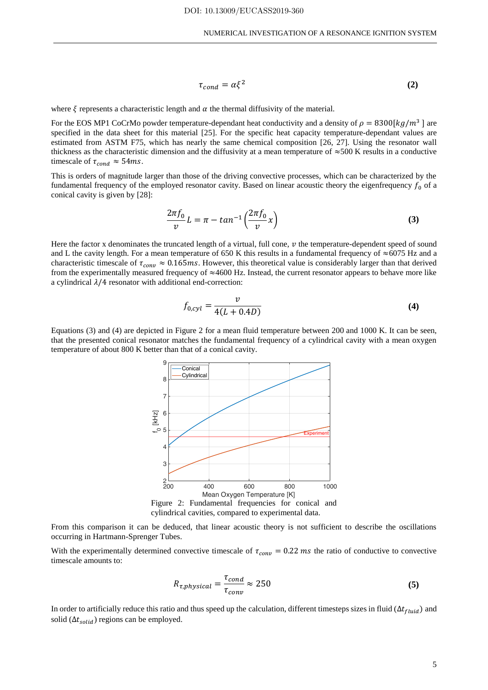$$
\tau_{cond} = \alpha \xi^2 \tag{2}
$$

where  $\xi$  represents a characteristic length and  $\alpha$  the thermal diffusivity of the material.

For the EOS MP1 CoCrMo powder temperature-dependant heat conductivity and a density of  $\rho = 8300 [kg/m^3]$  are specified in the data sheet for this material [25]. For the specific heat capacity temperature-dependant values are estimated from ASTM F75, which has nearly the same chemical composition [26, 27]. Using the resonator wall thickness as the characteristic dimension and the diffusivity at a mean temperature of  $\approx$ 500 K results in a conductive timescale of  $\tau_{cond} \approx 54$ ms.

This is orders of magnitude larger than those of the driving convective processes, which can be characterized by the fundamental frequency of the employed resonator cavity. Based on linear acoustic theory the eigenfrequency  $f_0$  of a conical cavity is given by [28]:

$$
\frac{2\pi f_0}{\nu}L = \pi - \tan^{-1}\left(\frac{2\pi f_0}{\nu}x\right)
$$
\n(3)

Here the factor x denominates the truncated length of a virtual, full cone,  $\nu$  the temperature-dependent speed of sound and L the cavity length. For a mean temperature of 650 K this results in a fundamental frequency of  $\approx$ 6075 Hz and a characteristic timescale of  $\tau_{conv} \approx 0.165$ ms. However, this theoretical value is considerably larger than that derived from the experimentally measured frequency of  $\approx$ 4600 Hz. Instead, the current resonator appears to behave more like a cylindrical  $\lambda/4$  resonator with additional end-correction:

$$
f_{0,cyl} = \frac{v}{4(L + 0.4D)}
$$
 (4)

Equations (3) and (4) are depicted in Figure 2 for a mean fluid temperature between 200 and 1000 K. It can be seen, that the presented conical resonator matches the fundamental frequency of a cylindrical cavity with a mean oxygen temperature of about 800 K better than that of a conical cavity.



cylindrical cavities, compared to experimental data.

From this comparison it can be deduced, that linear acoustic theory is not sufficient to describe the oscillations occurring in Hartmann-Sprenger Tubes.

With the experimentally determined convective timescale of  $\tau_{conv} = 0.22$  ms the ratio of conductive to convective timescale amounts to:

$$
R_{\tau,physical} = \frac{\tau_{cond}}{\tau_{conv}} \approx 250
$$
 (5)

In order to artificially reduce this ratio and thus speed up the calculation, different timesteps sizes in fluid ( $\Delta t_{fluid}$ ) and solid ( $\Delta t_{solid}$ ) regions can be employed.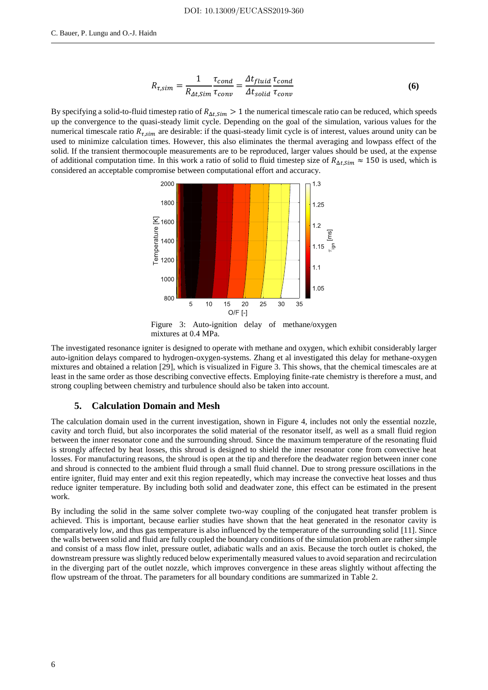$$
R_{\tau,sim} = \frac{1}{R_{\Delta t,sim}} \frac{\tau_{cond}}{\tau_{conv}} = \frac{\Delta t_{fluid}}{\Delta t_{solid}} \frac{\tau_{cond}}{\tau_{conv}}
$$
(6)

By specifying a solid-to-fluid timestep ratio of  $R_{\Delta t, Sim} > 1$  the numerical timescale ratio can be reduced, which speeds up the convergence to the quasi-steady limit cycle. Depending on the goal of the simulation, various values for the numerical timescale ratio  $R_{\tau, \text{sim}}$  are desirable: if the quasi-steady limit cycle is of interest, values around unity can be used to minimize calculation times. However, this also eliminates the thermal averaging and lowpass effect of the solid. If the transient thermocouple measurements are to be reproduced, larger values should be used, at the expense of additional computation time. In this work a ratio of solid to fluid timestep size of  $R_{\Delta t, Sim} \approx 150$  is used, which is considered an acceptable compromise between computational effort and accuracy.



Figure 3: Auto-ignition delay of methane/oxygen mixtures at 0.4 MPa.

The investigated resonance igniter is designed to operate with methane and oxygen, which exhibit considerably larger auto-ignition delays compared to hydrogen-oxygen-systems. Zhang et al investigated this delay for methane-oxygen mixtures and obtained a relation [29], which is visualized in Figure 3. This shows, that the chemical timescales are at least in the same order as those describing convective effects. Employing finite-rate chemistry is therefore a must, and strong coupling between chemistry and turbulence should also be taken into account.

#### **5. Calculation Domain and Mesh**

The calculation domain used in the current investigation, shown in Figure 4, includes not only the essential nozzle, cavity and torch fluid, but also incorporates the solid material of the resonator itself, as well as a small fluid region between the inner resonator cone and the surrounding shroud. Since the maximum temperature of the resonating fluid is strongly affected by heat losses, this shroud is designed to shield the inner resonator cone from convective heat losses. For manufacturing reasons, the shroud is open at the tip and therefore the deadwater region between inner cone and shroud is connected to the ambient fluid through a small fluid channel. Due to strong pressure oscillations in the entire igniter, fluid may enter and exit this region repeatedly, which may increase the convective heat losses and thus reduce igniter temperature. By including both solid and deadwater zone, this effect can be estimated in the present work.

By including the solid in the same solver complete two-way coupling of the conjugated heat transfer problem is achieved. This is important, because earlier studies have shown that the heat generated in the resonator cavity is comparatively low, and thus gas temperature is also influenced by the temperature of the surrounding solid [11]. Since the walls between solid and fluid are fully coupled the boundary conditions of the simulation problem are rather simple and consist of a mass flow inlet, pressure outlet, adiabatic walls and an axis. Because the torch outlet is choked, the downstream pressure was slightly reduced below experimentally measured values to avoid separation and recirculation in the diverging part of the outlet nozzle, which improves convergence in these areas slightly without affecting the flow upstream of the throat. The parameters for all boundary conditions are summarized in Table 2.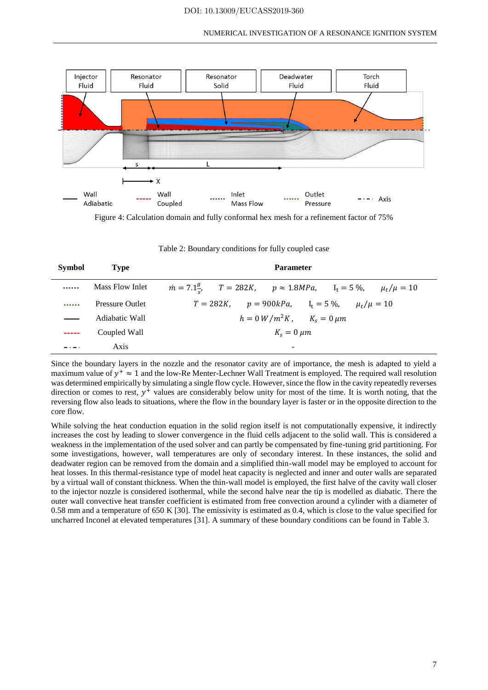

Figure 4: Calculation domain and fully conformal hex mesh for a refinement factor of 75%

| Table 2: Boundary conditions for fully coupled case |  |  |  |  |
|-----------------------------------------------------|--|--|--|--|
|-----------------------------------------------------|--|--|--|--|

| <b>Symbol</b> | <b>Type</b>            | <b>Parameter</b>                                                                              |  |  |
|---------------|------------------------|-----------------------------------------------------------------------------------------------|--|--|
|               | Mass Flow Inlet        | $\dot{m} = 7.1\frac{g}{c}$ , $T = 282K$ , $p \approx 1.8MPa$ , $I_t = 5\%$ , $\mu_t/\mu = 10$ |  |  |
|               | <b>Pressure Outlet</b> | $T = 282K$ , $p = 900kPa$ , $I_t = 5\%$ , $\mu_t/\mu = 10$                                    |  |  |
|               | Adiabatic Wall         | $h = 0 W/m^2 K$ , $K_s = 0 \mu m$                                                             |  |  |
|               | Coupled Wall           | $K_s = 0 \ \mu m$                                                                             |  |  |
|               | Axis                   | $\overline{\phantom{0}}$                                                                      |  |  |

Since the boundary layers in the nozzle and the resonator cavity are of importance, the mesh is adapted to yield a maximum value of  $y^+ \approx 1$  and the low-Re Menter-Lechner Wall Treatment is employed. The required wall resolution was determined empirically by simulating a single flow cycle. However, since the flow in the cavity repeatedly reverses direction or comes to rest,  $y^+$  values are considerably below unity for most of the time. It is worth noting, that the reversing flow also leads to situations, where the flow in the boundary layer is faster or in the opposite direction to the core flow.

While solving the heat conduction equation in the solid region itself is not computationally expensive, it indirectly increases the cost by leading to slower convergence in the fluid cells adjacent to the solid wall. This is considered a weakness in the implementation of the used solver and can partly be compensated by fine-tuning grid partitioning. For some investigations, however, wall temperatures are only of secondary interest. In these instances, the solid and deadwater region can be removed from the domain and a simplified thin-wall model may be employed to account for heat losses. In this thermal-resistance type of model heat capacity is neglected and inner and outer walls are separated by a virtual wall of constant thickness. When the thin-wall model is employed, the first halve of the cavity wall closer to the injector nozzle is considered isothermal, while the second halve near the tip is modelled as diabatic. There the outer wall convective heat transfer coefficient is estimated from free convection around a cylinder with a diameter of 0.58 mm and a temperature of 650 K [30]. The emissivity is estimated as 0.4, which is close to the value specified for uncharred Inconel at elevated temperatures [31]. A summary of these boundary conditions can be found in Table 3.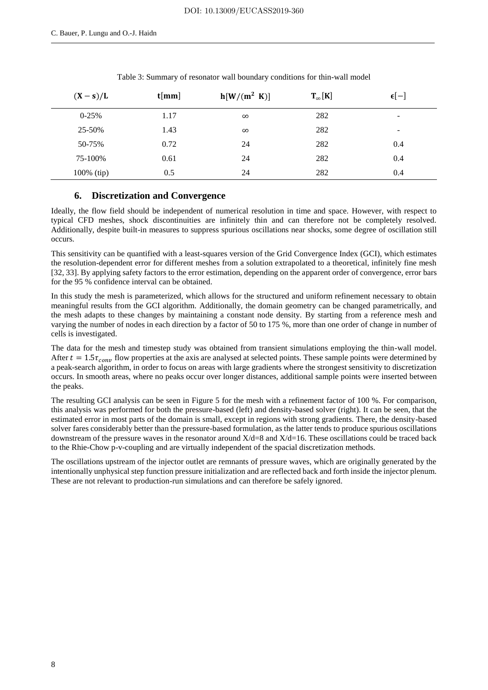| $(X - s)/L$   | t[mm] | $h[W/(m^2 \text{ K})]$ | $T_{\infty}[K]$ | $\epsilon[-]$            |
|---------------|-------|------------------------|-----------------|--------------------------|
| $0-25%$       | 1.17  | $\infty$               | 282             | $\overline{\phantom{0}}$ |
| 25-50%        | 1.43  | $\infty$               | 282             | $\overline{\phantom{0}}$ |
| 50-75%        | 0.72  | 24                     | 282             | 0.4                      |
| 75-100%       | 0.61  | 24                     | 282             | 0.4                      |
| $100\%$ (tip) | 0.5   | 24                     | 282             | 0.4                      |

Table 3: Summary of resonator wall boundary conditions for thin-wall model

# **6. Discretization and Convergence**

Ideally, the flow field should be independent of numerical resolution in time and space. However, with respect to typical CFD meshes, shock discontinuities are infinitely thin and can therefore not be completely resolved. Additionally, despite built-in measures to suppress spurious oscillations near shocks, some degree of oscillation still occurs.

This sensitivity can be quantified with a least-squares version of the Grid Convergence Index (GCI), which estimates the resolution-dependent error for different meshes from a solution extrapolated to a theoretical, infinitely fine mesh [32, 33]. By applying safety factors to the error estimation, depending on the apparent order of convergence, error bars for the 95 % confidence interval can be obtained.

In this study the mesh is parameterized, which allows for the structured and uniform refinement necessary to obtain meaningful results from the GCI algorithm. Additionally, the domain geometry can be changed parametrically, and the mesh adapts to these changes by maintaining a constant node density. By starting from a reference mesh and varying the number of nodes in each direction by a factor of 50 to 175 %, more than one order of change in number of cells is investigated.

The data for the mesh and timestep study was obtained from transient simulations employing the thin-wall model. After  $t = 1.5\tau_{conv}$  flow properties at the axis are analysed at selected points. These sample points were determined by a peak-search algorithm, in order to focus on areas with large gradients where the strongest sensitivity to discretization occurs. In smooth areas, where no peaks occur over longer distances, additional sample points were inserted between the peaks.

The resulting GCI analysis can be seen in Figure 5 for the mesh with a refinement factor of 100 %. For comparison, this analysis was performed for both the pressure-based (left) and density-based solver (right). It can be seen, that the estimated error in most parts of the domain is small, except in regions with strong gradients. There, the density-based solver fares considerably better than the pressure-based formulation, as the latter tends to produce spurious oscillations downstream of the pressure waves in the resonator around  $X/d=8$  and  $X/d=16$ . These oscillations could be traced back to the Rhie-Chow p-v-coupling and are virtually independent of the spacial discretization methods.

The oscillations upstream of the injector outlet are remnants of pressure waves, which are originally generated by the intentionally unphysical step function pressure initialization and are reflected back and forth inside the injector plenum. These are not relevant to production-run simulations and can therefore be safely ignored.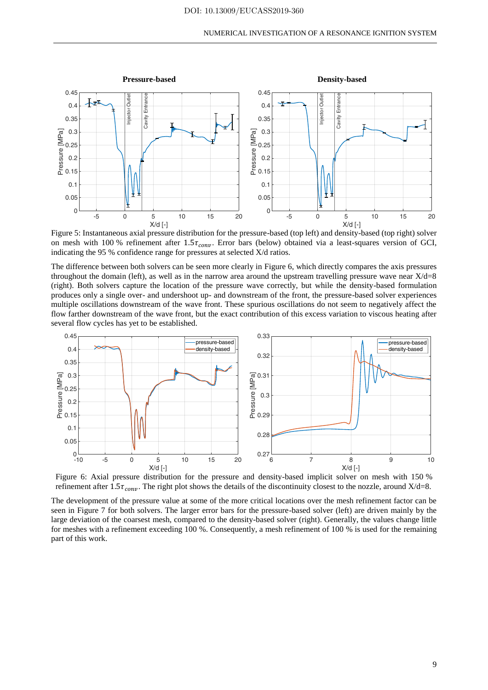

Figure 5: Instantaneous axial pressure distribution for the pressure-based (top left) and density-based (top right) solver on mesh with 100 % refinement after  $1.5\tau_{conv}$ . Error bars (below) obtained via a least-squares version of GCI, indicating the 95 % confidence range for pressures at selected X/d ratios.

The difference between both solvers can be seen more clearly in Figure 6, which directly compares the axis pressures throughout the domain (left), as well as in the narrow area around the upstream travelling pressure wave near  $X/d=8$ (right). Both solvers capture the location of the pressure wave correctly, but while the density-based formulation produces only a single over- and undershoot up- and downstream of the front, the pressure-based solver experiences multiple oscillations downstream of the wave front. These spurious oscillations do not seem to negatively affect the flow farther downstream of the wave front, but the exact contribution of this excess variation to viscous heating after several flow cycles has yet to be established.



Figure 6: Axial pressure distribution for the pressure and density-based implicit solver on mesh with 150 % refinement after 1.5 $\tau_{conv}$ . The right plot shows the details of the discontinuity closest to the nozzle, around  $X/d=8$ .

The development of the pressure value at some of the more critical locations over the mesh refinement factor can be seen in Figure 7 for both solvers. The larger error bars for the pressure-based solver (left) are driven mainly by the large deviation of the coarsest mesh, compared to the density-based solver (right). Generally, the values change little for meshes with a refinement exceeding 100 %. Consequently, a mesh refinement of 100 % is used for the remaining part of this work.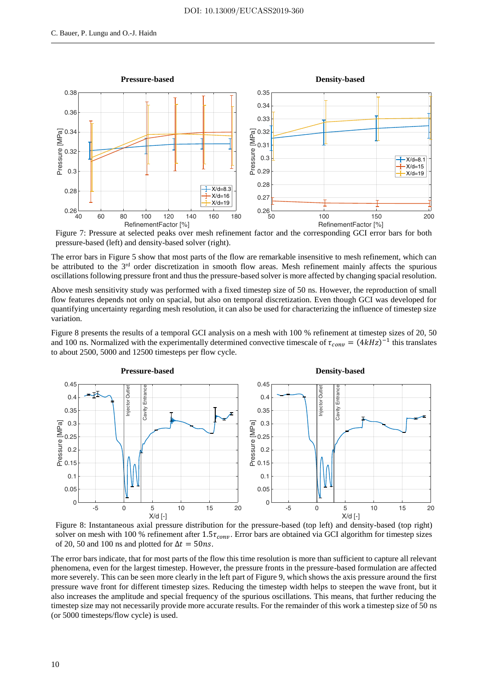

Figure 7: Pressure at selected peaks over mesh refinement factor and the corresponding GCI error bars for both pressure-based (left) and density-based solver (right).

The error bars in Figure 5 show that most parts of the flow are remarkable insensitive to mesh refinement, which can be attributed to the 3<sup>rd</sup> order discretization in smooth flow areas. Mesh refinement mainly affects the spurious oscillations following pressure front and thus the pressure-based solver is more affected by changing spacial resolution.

Above mesh sensitivity study was performed with a fixed timestep size of 50 ns. However, the reproduction of small flow features depends not only on spacial, but also on temporal discretization. Even though GCI was developed for quantifying uncertainty regarding mesh resolution, it can also be used for characterizing the influence of timestep size variation.

Figure 8 presents the results of a temporal GCI analysis on a mesh with 100 % refinement at timestep sizes of 20, 50 and 100 ns. Normalized with the experimentally determined convective timescale of  $\tau_{conv} = (4kHz)^{-1}$  this translates to about 2500, 5000 and 12500 timesteps per flow cycle.



Figure 8: Instantaneous axial pressure distribution for the pressure-based (top left) and density-based (top right) solver on mesh with 100 % refinement after  $1.5\tau_{conv}$ . Error bars are obtained via GCI algorithm for timestep sizes of 20, 50 and 100 ns and plotted for  $\Delta t = 50$ ns.

The error bars indicate, that for most parts of the flow this time resolution is more than sufficient to capture all relevant phenomena, even for the largest timestep. However, the pressure fronts in the pressure-based formulation are affected more severely. This can be seen more clearly in the left part of Figure 9, which shows the axis pressure around the first pressure wave front for different timestep sizes. Reducing the timestep width helps to steepen the wave front, but it also increases the amplitude and special frequency of the spurious oscillations. This means, that further reducing the timestep size may not necessarily provide more accurate results. For the remainder of this work a timestep size of 50 ns (or 5000 timesteps/flow cycle) is used.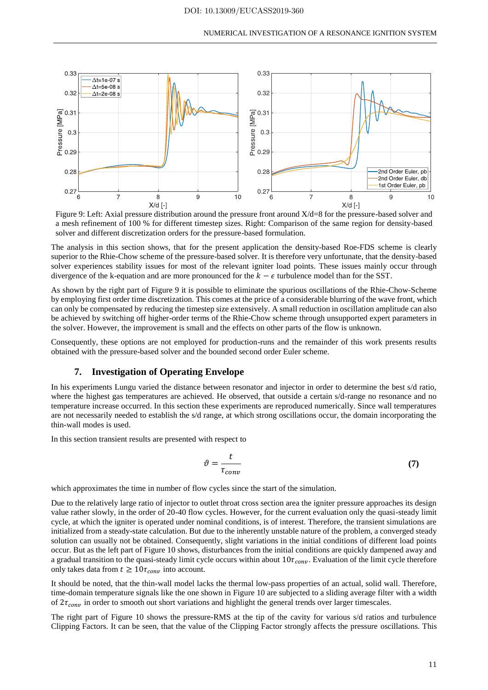

Figure 9: Left: Axial pressure distribution around the pressure front around X/d=8 for the pressure-based solver and a mesh refinement of 100 % for different timestep sizes. Right: Comparison of the same region for density-based solver and different discretization orders for the pressure-based formulation.

The analysis in this section shows, that for the present application the density-based Roe-FDS scheme is clearly superior to the Rhie-Chow scheme of the pressure-based solver. It is therefore very unfortunate, that the density-based solver experiences stability issues for most of the relevant igniter load points. These issues mainly occur through divergence of the k-equation and are more pronounced for the  $k - \epsilon$  turbulence model than for the SST.

As shown by the right part of Figure 9 it is possible to eliminate the spurious oscillations of the Rhie-Chow-Scheme by employing first order time discretization. This comes at the price of a considerable blurring of the wave front, which can only be compensated by reducing the timestep size extensively. A small reduction in oscillation amplitude can also be achieved by switching off higher-order terms of the Rhie-Chow scheme through unsupported expert parameters in the solver. However, the improvement is small and the effects on other parts of the flow is unknown.

Consequently, these options are not employed for production-runs and the remainder of this work presents results obtained with the pressure-based solver and the bounded second order Euler scheme.

#### **7. Investigation of Operating Envelope**

In his experiments Lungu varied the distance between resonator and injector in order to determine the best s/d ratio, where the highest gas temperatures are achieved. He observed, that outside a certain s/d-range no resonance and no temperature increase occurred. In this section these experiments are reproduced numerically. Since wall temperatures are not necessarily needed to establish the s/d range, at which strong oscillations occur, the domain incorporating the thin-wall modes is used.

In this section transient results are presented with respect to

$$
\vartheta = \frac{t}{\tau_{conv}}\tag{7}
$$

which approximates the time in number of flow cycles since the start of the simulation.

Due to the relatively large ratio of injector to outlet throat cross section area the igniter pressure approaches its design value rather slowly, in the order of 20-40 flow cycles. However, for the current evaluation only the quasi-steady limit cycle, at which the igniter is operated under nominal conditions, is of interest. Therefore, the transient simulations are initialized from a steady-state calculation. But due to the inherently unstable nature of the problem, a converged steady solution can usually not be obtained. Consequently, slight variations in the initial conditions of different load points occur. But as the left part of Figure 10 shows, disturbances from the initial conditions are quickly dampened away and a gradual transition to the quasi-steady limit cycle occurs within about  $10\tau_{conv}$ . Evaluation of the limit cycle therefore only takes data from  $t \geq 10\tau_{conv}$  into account.

It should be noted, that the thin-wall model lacks the thermal low-pass properties of an actual, solid wall. Therefore, time-domain temperature signals like the one shown in Figure 10 are subjected to a sliding average filter with a width of  $2\tau_{conv}$  in order to smooth out short variations and highlight the general trends over larger timescales.

The right part of Figure 10 shows the pressure-RMS at the tip of the cavity for various s/d ratios and turbulence Clipping Factors. It can be seen, that the value of the Clipping Factor strongly affects the pressure oscillations. This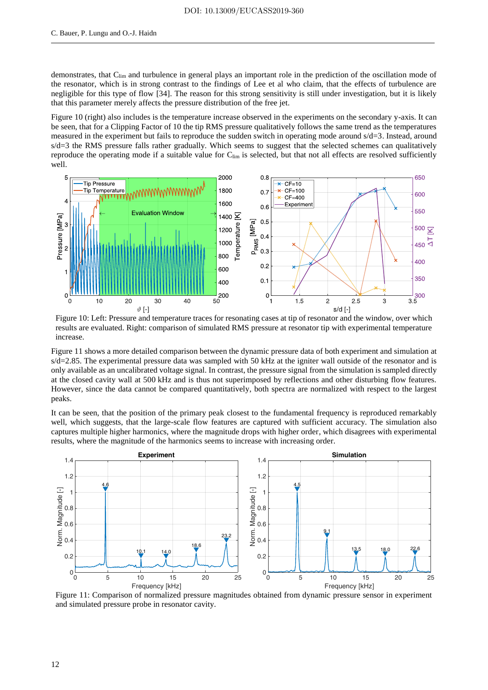demonstrates, that C<sub>lim</sub> and turbulence in general plays an important role in the prediction of the oscillation mode of the resonator, which is in strong contrast to the findings of Lee et al who claim, that the effects of turbulence are negligible for this type of flow [34]. The reason for this strong sensitivity is still under investigation, but it is likely that this parameter merely affects the pressure distribution of the free jet.

Figure 10 (right) also includes is the temperature increase observed in the experiments on the secondary y-axis. It can be seen, that for a Clipping Factor of 10 the tip RMS pressure qualitatively follows the same trend as the temperatures measured in the experiment but fails to reproduce the sudden switch in operating mode around s/d=3. Instead, around s/d=3 the RMS pressure falls rather gradually. Which seems to suggest that the selected schemes can qualitatively reproduce the operating mode if a suitable value for C<sub>lim</sub> is selected, but that not all effects are resolved sufficiently well.



Figure 10: Left: Pressure and temperature traces for resonating cases at tip of resonator and the window, over which results are evaluated. Right: comparison of simulated RMS pressure at resonator tip with experimental temperature increase.

Figure 11 shows a more detailed comparison between the dynamic pressure data of both experiment and simulation at s/d=2.85. The experimental pressure data was sampled with 50 kHz at the igniter wall outside of the resonator and is only available as an uncalibrated voltage signal. In contrast, the pressure signal from the simulation is sampled directly at the closed cavity wall at 500 kHz and is thus not superimposed by reflections and other disturbing flow features. However, since the data cannot be compared quantitatively, both spectra are normalized with respect to the largest peaks.

It can be seen, that the position of the primary peak closest to the fundamental frequency is reproduced remarkably well, which suggests, that the large-scale flow features are captured with sufficient accuracy. The simulation also captures multiple higher harmonics, where the magnitude drops with higher order, which disagrees with experimental results, where the magnitude of the harmonics seems to increase with increasing order.



Figure 11: Comparison of normalized pressure magnitudes obtained from dynamic pressure sensor in experiment and simulated pressure probe in resonator cavity.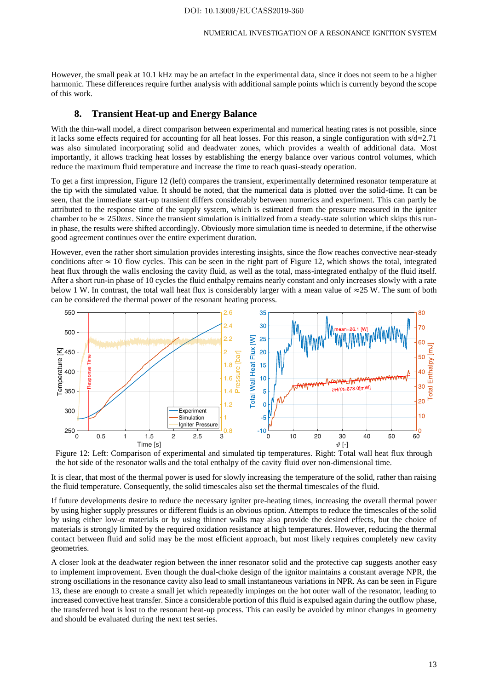However, the small peak at 10.1 kHz may be an artefact in the experimental data, since it does not seem to be a higher harmonic. These differences require further analysis with additional sample points which is currently beyond the scope of this work.

### **8. Transient Heat-up and Energy Balance**

With the thin-wall model, a direct comparison between experimental and numerical heating rates is not possible, since it lacks some effects required for accounting for all heat losses. For this reason, a single configuration with s/d=2.71 was also simulated incorporating solid and deadwater zones, which provides a wealth of additional data. Most importantly, it allows tracking heat losses by establishing the energy balance over various control volumes, which reduce the maximum fluid temperature and increase the time to reach quasi-steady operation.

To get a first impression, Figure 12 (left) compares the transient, experimentally determined resonator temperature at the tip with the simulated value. It should be noted, that the numerical data is plotted over the solid-time. It can be seen, that the immediate start-up transient differs considerably between numerics and experiment. This can partly be attributed to the response time of the supply system, which is estimated from the pressure measured in the igniter chamber to be  $\approx$  250ms. Since the transient simulation is initialized from a steady-state solution which skips this runin phase, the results were shifted accordingly. Obviously more simulation time is needed to determine, if the otherwise good agreement continues over the entire experiment duration.

However, even the rather short simulation provides interesting insights, since the flow reaches convective near-steady conditions after  $\approx 10$  flow cycles. This can be seen in the right part of Figure 12, which shows the total, integrated heat flux through the walls enclosing the cavity fluid, as well as the total, mass-integrated enthalpy of the fluid itself. After a short run-in phase of 10 cycles the fluid enthalpy remains nearly constant and only increases slowly with a rate below 1 W. In contrast, the total wall heat flux is considerably larger with a mean value of  $\approx$ 25 W. The sum of both can be considered the thermal power of the resonant heating process.



Figure 12: Left: Comparison of experimental and simulated tip temperatures. Right: Total wall heat flux through the hot side of the resonator walls and the total enthalpy of the cavity fluid over non-dimensional time.

It is clear, that most of the thermal power is used for slowly increasing the temperature of the solid, rather than raising the fluid temperature. Consequently, the solid timescales also set the thermal timescales of the fluid.

If future developments desire to reduce the necessary igniter pre-heating times, increasing the overall thermal power by using higher supply pressures or different fluids is an obvious option. Attempts to reduce the timescales of the solid by using either low- $\alpha$  materials or by using thinner walls may also provide the desired effects, but the choice of materials is strongly limited by the required oxidation resistance at high temperatures. However, reducing the thermal contact between fluid and solid may be the most efficient approach, but most likely requires completely new cavity geometries.

A closer look at the deadwater region between the inner resonator solid and the protective cap suggests another easy to implement improvement. Even though the dual-choke design of the ignitor maintains a constant average NPR, the strong oscillations in the resonance cavity also lead to small instantaneous variations in NPR. As can be seen in Figure 13, these are enough to create a small jet which repeatedly impinges on the hot outer wall of the resonator, leading to increased convective heat transfer. Since a considerable portion of this fluid is expulsed again during the outflow phase, the transferred heat is lost to the resonant heat-up process. This can easily be avoided by minor changes in geometry and should be evaluated during the next test series.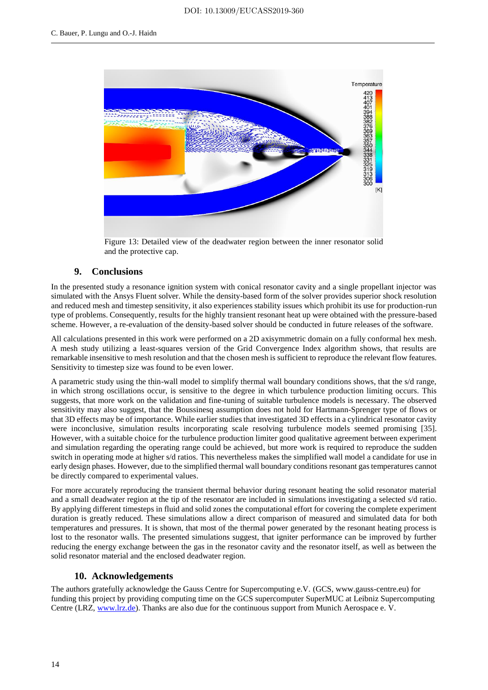

Figure 13: Detailed view of the deadwater region between the inner resonator solid and the protective cap.

# **9. Conclusions**

In the presented study a resonance ignition system with conical resonator cavity and a single propellant injector was simulated with the Ansys Fluent solver. While the density-based form of the solver provides superior shock resolution and reduced mesh and timestep sensitivity, it also experiences stability issues which prohibit its use for production-run type of problems. Consequently, results for the highly transient resonant heat up were obtained with the pressure-based scheme. However, a re-evaluation of the density-based solver should be conducted in future releases of the software.

All calculations presented in this work were performed on a 2D axisymmetric domain on a fully conformal hex mesh. A mesh study utilizing a least-squares version of the Grid Convergence Index algorithm shows, that results are remarkable insensitive to mesh resolution and that the chosen mesh is sufficient to reproduce the relevant flow features. Sensitivity to timestep size was found to be even lower.

A parametric study using the thin-wall model to simplify thermal wall boundary conditions shows, that the s/d range, in which strong oscillations occur, is sensitive to the degree in which turbulence production limiting occurs. This suggests, that more work on the validation and fine-tuning of suitable turbulence models is necessary. The observed sensitivity may also suggest, that the Boussinesq assumption does not hold for Hartmann-Sprenger type of flows or that 3D effects may be of importance. While earlier studies that investigated 3D effects in a cylindrical resonator cavity were inconclusive, simulation results incorporating scale resolving turbulence models seemed promising [35]. However, with a suitable choice for the turbulence production limiter good qualitative agreement between experiment and simulation regarding the operating range could be achieved, but more work is required to reproduce the sudden switch in operating mode at higher s/d ratios. This nevertheless makes the simplified wall model a candidate for use in early design phases. However, due to the simplified thermal wall boundary conditions resonant gas temperatures cannot be directly compared to experimental values.

For more accurately reproducing the transient thermal behavior during resonant heating the solid resonator material and a small deadwater region at the tip of the resonator are included in simulations investigating a selected s/d ratio. By applying different timesteps in fluid and solid zones the computational effort for covering the complete experiment duration is greatly reduced. These simulations allow a direct comparison of measured and simulated data for both temperatures and pressures. It is shown, that most of the thermal power generated by the resonant heating process is lost to the resonator walls. The presented simulations suggest, that igniter performance can be improved by further reducing the energy exchange between the gas in the resonator cavity and the resonator itself, as well as between the solid resonator material and the enclosed deadwater region.

# **10. Acknowledgements**

The authors gratefully acknowledge the Gauss Centre for Supercomputing e.V. (GCS, www.gauss-centre.eu) for funding this project by providing computing time on the GCS supercomputer SuperMUC at Leibniz Supercomputing Centre (LRZ, www.lrz.de). Thanks are also due for the continuous support from Munich Aerospace e. V.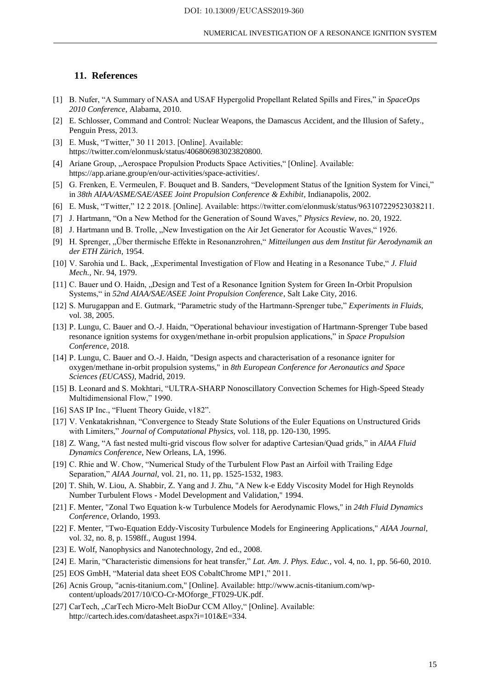## **11. References**

- [1] B. Nufer, "A Summary of NASA and USAF Hypergolid Propellant Related Spills and Fires," in *SpaceOps 2010 Conference*, Alabama, 2010.
- [2] E. Schlosser, Command and Control: Nuclear Weapons, the Damascus Accident, and the Illusion of Safety., Penguin Press, 2013.
- [3] E. Musk, "Twitter," 30 11 2013. [Online]. Available: https://twitter.com/elonmusk/status/406806983023820800.
- [4] Ariane Group, "Aerospace Propulsion Products Space Activities," [Online]. Available: https://app.ariane.group/en/our-activities/space-activities/.
- [5] G. Frenken, E. Vermeulen, F. Bouquet and B. Sanders, "Development Status of the Ignition System for Vinci," in *38th AIAA/ASME/SAE/ASEE Joint Propulsion Conference & Exhibit*, Indianapolis, 2002.
- [6] E. Musk, "Twitter," 12 2 2018. [Online]. Available: https://twitter.com/elonmusk/status/963107229523038211.
- [7] J. Hartmann, "On a New Method for the Generation of Sound Waves," *Physics Review,* no. 20, 1922.
- [8] J. Hartmann und B. Trolle, "New Investigation on the Air Jet Generator for Acoustic Waves," 1926.
- [9] H. Sprenger, "Über thermische Effekte in Resonanzrohren," *Mitteilungen aus dem Institut für Aerodynamik an der ETH Zürich,* 1954.
- [10] V. Sarohia und L. Back, "Experimental Investigation of Flow and Heating in a Resonance Tube," *J. Fluid Mech.,* Nr. 94, 1979.
- [11] C. Bauer und O. Haidn, "Design and Test of a Resonance Ignition System for Green In-Orbit Propulsion Systems," in *52nd AIAA/SAE/ASEE Joint Propulsion Conference*, Salt Lake City, 2016.
- [12] S. Murugappan and E. Gutmark, "Parametric study of the Hartmann-Sprenger tube," *Experiments in Fluids,*  vol. 38, 2005.
- [13] P. Lungu, C. Bauer and O.-J. Haidn, "Operational behaviour investigation of Hartmann-Sprenger Tube based resonance ignition systems for oxygen/methane in-orbit propulsion applications," in *Space Propulsion Conference*, 2018.
- [14] P. Lungu, C. Bauer and O.-J. Haidn, "Design aspects and characterisation of a resonance igniter for oxygen/methane in-orbit propulsion systems," in *8th European Conference for Aeronautics and Space Sciences (EUCASS)*, Madrid, 2019.
- [15] B. Leonard and S. Mokhtari, "ULTRA-SHARP Nonoscillatory Convection Schemes for High-Speed Steady Multidimensional Flow," 1990.
- [16] SAS IP Inc., "Fluent Theory Guide, v182".
- [17] V. Venkatakrishnan, "Convergence to Steady State Solutions of the Euler Equations on Unstructured Grids with Limiters," *Journal of Computational Physics,* vol. 118, pp. 120-130, 1995.
- [18] Z. Wang, "A fast nested multi-grid viscous flow solver for adaptive Cartesian/Quad grids," in *AIAA Fluid Dynamics Conference*, New Orleans, LA, 1996.
- [19] C. Rhie and W. Chow, "Numerical Study of the Turbulent Flow Past an Airfoil with Trailing Edge Separation," *AIAA Journal,* vol. 21, no. 11, pp. 1525-1532, 1983.
- [20] T. Shih, W. Liou, A. Shabbir, Z. Yang and J. Zhu, "A New k-e Eddy Viscosity Model for High Reynolds Number Turbulent Flows - Model Development and Validation," 1994.
- [21] F. Menter, "Zonal Two Equation k-w Turbulence Models for Aerodynamic Flows," in *24th Fluid Dynamics Conference*, Orlando, 1993.
- [22] F. Menter, "Two-Equation Eddy-Viscosity Turbulence Models for Engineering Applications," *AIAA Journal,*  vol. 32, no. 8, p. 1598ff., August 1994.
- [23] E. Wolf, Nanophysics and Nanotechnology, 2nd ed., 2008.
- [24] E. Marin, "Characteristic dimensions for heat transfer," *Lat. Am. J. Phys. Educ.,* vol. 4, no. 1, pp. 56-60, 2010.
- [25] EOS GmbH, "Material data sheet EOS CobaltChrome MP1," 2011.
- [26] Acnis Group, "acnis-titanium.com," [Online]. Available: http://www.acnis-titanium.com/wpcontent/uploads/2017/10/CO-Cr-MOforge\_FT029-UK.pdf.
- [27] CarTech, "CarTech Micro-Melt BioDur CCM Alloy," [Online]. Available: http://cartech.ides.com/datasheet.aspx?i=101&E=334.